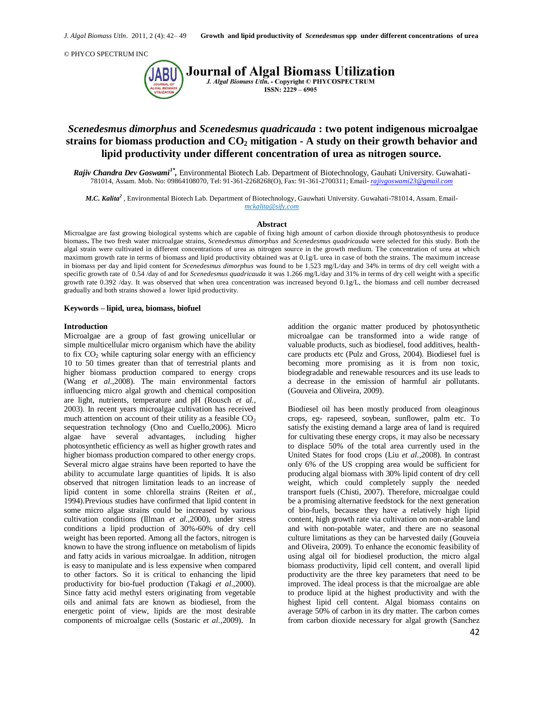

**Journal of Algal Biomass Utilization** J. Algal Biomass Utln. - Copyright © PHYCOSPECTRUM ISSN: 2229 - 6905

# *Scenedesmus dimorphus* **and** *Scenedesmus quadricauda* **: two potent indigenous microalgae strains for biomass production and CO<sup>2</sup> mitigation - A study on their growth behavior and lipid productivity under different concentration of urea as nitrogen source.**

Rajiv Chandra Dev Goswami<sup>1\*</sup>, Environmental Biotech Lab. Department of Biotechnology, Gauhati University. Guwahati-781014, Assam. Mob. No: 09864108070, Tel: 91-361-2268268(O), Fax: 91-361-2700311; Email- *[rajivgoswami23@gmail.com](mailto:rajivgoswami23@gmail.com)*

*M.C. Kalita<sup>2</sup>* , Environmental Biotech Lab. Department of Biotechnology, Gauwhati University. Guwahati-781014, Assam. Email*mckalita@sify.com*

#### **Abstract**

Microalgae are fast growing biological systems which are capable of fixing high amount of carbon dioxide through photosynthesis to produce biomass**.** The two fresh water microalgae strains, *Scenedesmus dimorphus* and *Scenedesmus quadricauda* were selected for this study. Both the algal strain were cultivated in different concentrations of urea as nitrogen source in the growth medium. The concentration of urea at which maximum growth rate in terms of biomass and lipid productivity obtained was at  $0.1g/L$  urea in case of both the strains. The maximum increase in biomass per day and lipid content for *Scenedesmus dimorphus* was found to be 1.523 mg/L/day and 34% in terms of dry cell weight with a specific growth rate of 0.54 /day of and for *Scenedesmus quadricauda* it was 1.266 mg/L/day and 31% in terms of dry cell weight with a specific growth rate 0.392 /day. It was observed that when urea concentration was increased beyond 0.1g/L, the biomass and cell number decreased gradually and both strains showed a lower lipid productivity.

### **Keywords – lipid, urea, biomass, biofuel**

### **Introduction**

Microalgae are a group of fast growing unicellular or simple multicellular micro organism which have the ability to fix  $CO<sub>2</sub>$  while capturing solar energy with an efficiency 10 to 50 times greater than that of terrestrial plants and higher biomass production compared to energy crops (Wang *et al.,*2008). The main environmental factors influencing micro algal growth and chemical composition are light, nutrients, temperature and pH (Rousch *et al.,* 2003). In recent years microalgae cultivation has received much attention on account of their utility as a feasible  $CO<sub>2</sub>$ sequestration technology (Ono and Cuello,2006). Micro algae have several advantages, including higher photosynthetic efficiency as well as higher growth rates and higher biomass production compared to other energy crops. Several micro algae strains have been reported to have the ability to accumulate large quantities of lipids. It is also observed that nitrogen limitation leads to an increase of lipid content in some chlorella strains (Reiten *et al.,* 1994).Previous studies have confirmed that lipid content in some micro algae strains could be increased by various cultivation conditions (Illman *et al.,*2000), under stress conditions a lipid production of 30%-60% of dry cell weight has been reported. Among all the factors, nitrogen is known to have the strong influence on metabolism of lipids and fatty acids in various microalgae. In addition, nitrogen is easy to manipulate and is less expensive when compared to other factors. So it is critical to enhancing the lipid productivity for bio-fuel production (Takagi *et al.,*2000). Since fatty acid methyl esters originating from vegetable oils and animal fats are known as biodiesel, from the energetic point of view, lipids are the most desirable components of microalgae cells (Sostaric *et al.,*2009). In

addition the organic matter produced by photosynthetic microalgae can be transformed into a wide range of valuable products, such as biodiesel, food additives, healthcare products etc (Pulz and Gross, 2004). Biodiesel fuel is becoming more promising as it is from non toxic, biodegradable and renewable resources and its use leads to a decrease in the emission of harmful air pollutants. (Gouveia and Oliveira, 2009).

Biodiesel oil has been mostly produced from oleaginous crops, eg- rapeseed, soybean, sunflower, palm etc. To satisfy the existing demand a large area of land is required for cultivating these energy crops, it may also be necessary to displace 50% of the total area currently used in the United States for food crops (Liu *et al.,*2008). In contrast only 6% of the US cropping area would be sufficient for producing algal biomass with 30% lipid content of dry cell weight, which could completely supply the needed transport fuels (Chisti, 2007). Therefore, microalgae could be a promising alternative feedstock for the next generation of bio-fuels, because they have a relatively high lipid content, high growth rate via cultivation on non-arable land and with non-potable water, and there are no seasonal culture limitations as they can be harvested daily (Gouveia and Oliveira, 2009). To enhance the economic feasibility of using algal oil for biodiesel production, the micro algal biomass productivity, lipid cell content, and overall lipid productivity are the three key parameters that need to be improved. The ideal process is that the microalgae are able to produce lipid at the highest productivity and with the highest lipid cell content. Algal biomass contains on average 50% of carbon in its dry matter. The carbon comes from carbon dioxide necessary for algal growth (Sanchez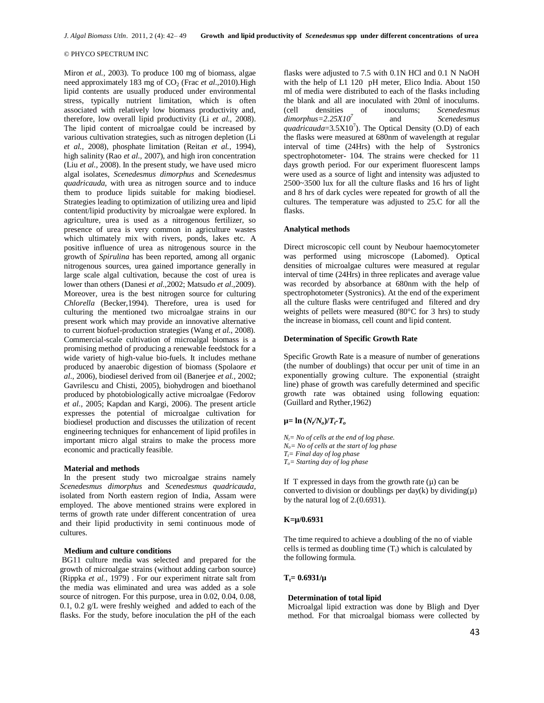Miron *et al.,* 2003). To produce 100 mg of biomass, algae need approximately 183 mg of CO<sub>2</sub> (Frac *et al.*, 2010).High lipid contents are usually produced under environmental stress, typically nutrient limitation, which is often associated with relatively low biomass productivity and, therefore, low overall lipid productivity (Li *et al.,* 2008). The lipid content of microalgae could be increased by various cultivation strategies, such as nitrogen depletion (Li *et al.,* 2008), phosphate limitation (Reitan *et al.,* 1994), high salinity (Rao *et al.,* 2007), and high iron concentration (Liu *et al.,* 2008). In the present study, we have used micro algal isolates, *Scenedesmus dimorphus* and *Scenedesmus quadricauda*, with urea as nitrogen source and to induce them to produce lipids suitable for making biodiesel. Strategies leading to optimization of utilizing urea and lipid content/lipid productivity by microalgae were explored. In agriculture, urea is used as a nitrogenous fertilizer, so presence of urea is very common in agriculture wastes which ultimately mix with rivers, ponds, lakes etc. A positive influence of urea as nitrogenous source in the growth of *Spirulina* has been reported, among all organic nitrogenous sources, urea gained importance generally in large scale algal cultivation, because the cost of urea is lower than others (Danesi *et al.,*2002; Matsudo *et al.,*2009). Moreover, urea is the best nitrogen source for culturing *Chlorella* (Becker,1994). Therefore, urea is used for culturing the mentioned two microalgae strains in our present work which may provide an innovative alternative to current biofuel-production strategies (Wang *et al.,* 2008). Commercial-scale cultivation of microalgal biomass is a promising method of producing a renewable feedstock for a wide variety of high-value bio-fuels. It includes methane produced by anaerobic digestion of biomass (Spolaore *et al.,* 2006), biodiesel derived from oil (Banerjee *et al.,* 2002; Gavrilescu and Chisti, 2005), biohydrogen and bioethanol produced by photobiologically active microalgae (Fedorov *et al.,* 2005; Kapdan and Kargi, 2006). The present article expresses the potential of microalgae cultivation for biodiesel production and discusses the utilization of recent engineering techniques for enhancement of lipid profiles in important micro algal strains to make the process more economic and practically feasible.

#### **Material and methods**

In the present study two microalgae strains namely *Scenedesmus dimorphus* and *Scenedesmus quadricauda,*  isolated from North eastern region of India, Assam were employed. The above mentioned strains were explored in terms of growth rate under different concentration of urea and their lipid productivity in semi continuous mode of cultures.

#### **Medium and culture conditions**

BG11 culture media was selected and prepared for the growth of microalgae strains (without adding carbon source) (Rippka *et al.,* 1979) . For our experiment nitrate salt from the media was eliminated and urea was added as a sole source of nitrogen. For this purpose, urea in 0.02, 0.04, 0.08, 0.1, 0.2 g/L were freshly weighed and added to each of the flasks. For the study, before inoculation the pH of the each

flasks were adjusted to 7.5 with 0.1N HCl and 0.1 N NaOH with the help of L1 120 pH meter, Elico India. About 150 ml of media were distributed to each of the flasks including the blank and all are inoculated with 20ml of inoculums. (cell densities of inoculums; *Scenedesmus dimorphus=2.25X10<sup>7</sup>* and *Scenedesmus*  quadricauda= $3.5X10<sup>7</sup>$ ). The Optical Density (O.D) of each the flasks were measured at 680nm of wavelength at regular interval of time (24Hrs) with the help of Systronics spectrophotometer- 104. The strains were checked for 11 days growth period. For our experiment fluorescent lamps were used as a source of light and intensity was adjusted to 2500~3500 lux for all the culture flasks and 16 hrs of light and 8 hrs of dark cycles were repeated for growth of all the cultures. The temperature was adjusted to 25.C for all the flasks.

#### **Analytical methods**

Direct microscopic cell count by Neubour haemocytometer was performed using microscope (Labomed). Optical densities of microalgae cultures were measured at regular interval of time (24Hrs) in three replicates and average value was recorded by absorbance at 680nm with the help of spectrophotometer (Systronics). At the end of the experiment all the culture flasks were centrifuged and filtered and dry weights of pellets were measured  $(80^{\circ}$ C for 3 hrs) to study the increase in biomass, cell count and lipid content.

#### **Determination of Specific Growth Rate**

Specific Growth Rate is a measure of number of generations (the number of doublings) that occur per unit of time in an exponentially growing culture. The exponential (straight line) phase of growth was carefully determined and specific growth rate was obtained using following equation: (Guillard and Ryther,1962)

### **µ= ln (***N<sup>t</sup> /No***)/***Tt-T<sup>o</sup>*

*Nt= No of cells at the end of log phase. No= No of cells at the start of log phase Tt= Final day of log phase To= Starting day of log phase*

If T expressed in days from the growth rate  $(\mu)$  can be converted to division or doublings per day(k) by dividing( $\mu$ ) by the natural log of 2.(0.6931).

#### **K=µ/0.6931**

The time required to achieve a doubling of the no of viable cells is termed as doubling time  $(T_t)$  which is calculated by the following formula.

# $T_f = 0.6931/\mu$

# **Determination of total lipid**

Microalgal lipid extraction was done by Bligh and Dyer method. For that microalgal biomass were collected by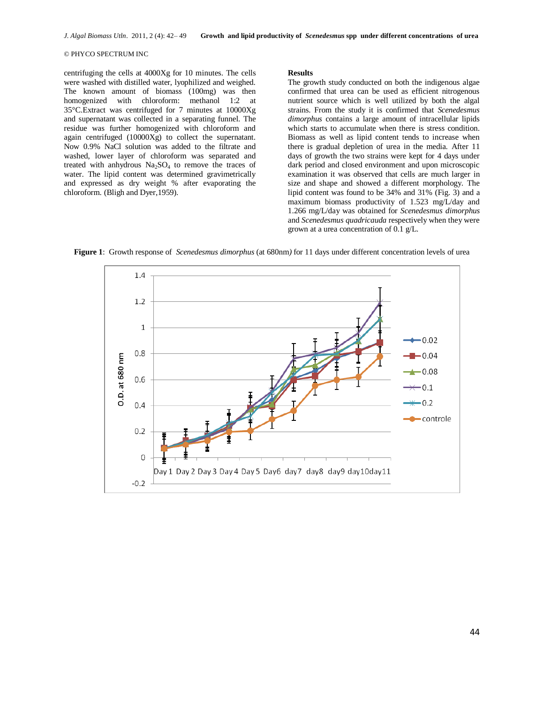centrifuging the cells at 4000Xg for 10 minutes. The cells were washed with distilled water, lyophilized and weighed. The known amount of biomass (100mg) was then homogenized with chloroform: methanol 1:2 at 35°C.Extract was centrifuged for 7 minutes at 10000Xg and supernatant was collected in a separating funnel. The residue was further homogenized with chloroform and again centrifuged (10000Xg) to collect the supernatant. Now 0.9% NaCl solution was added to the filtrate and washed, lower layer of chloroform was separated and treated with anhydrous  $Na<sub>2</sub>SO<sub>4</sub>$  to remove the traces of water. The lipid content was determined gravimetrically and expressed as dry weight % after evaporating the chloroform. (Bligh and Dyer,1959).

#### **Results**

The growth study conducted on both the indigenous algae confirmed that urea can be used as efficient nitrogenous nutrient source which is well utilized by both the algal strains. From the study it is confirmed that *Scenedesmus dimorphus* contains a large amount of intracellular lipids which starts to accumulate when there is stress condition. Biomass as well as lipid content tends to increase when there is gradual depletion of urea in the media. After 11 days of growth the two strains were kept for 4 days under dark period and closed environment and upon microscopic examination it was observed that cells are much larger in size and shape and showed a different morphology. The lipid content was found to be 34% and 31% (Fig. 3) and a maximum biomass productivity of 1.523 mg/L/day and 1.266 mg/L/day was obtained for *Scenedesmus dimorphus* and *Scenedesmus quadricauda* respectively when they were grown at a urea concentration of 0.1 g/L.

**Figure 1**: Growth response of *Scenedesmus dimorphus* (at 680nm*)* for 11 days under different concentration levels of urea

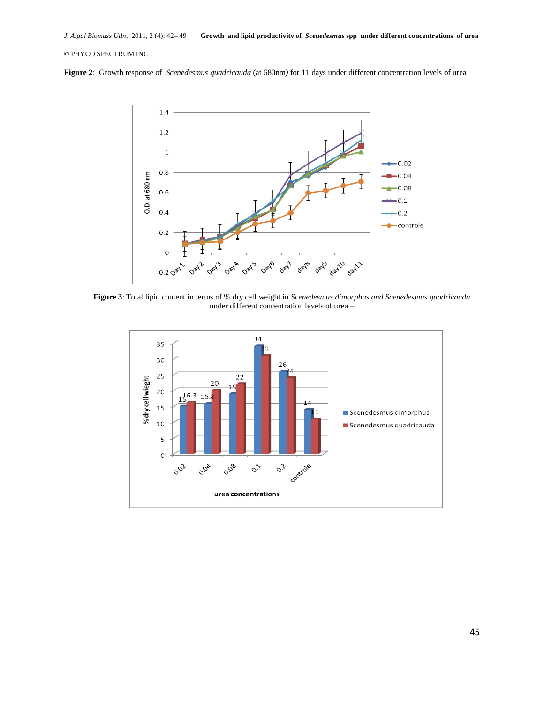**Figure 2**: Growth response of *Scenedesmus quadricauda* (at 680nm*)* for 11 days under different concentration levels of urea



**Figure 3**: Total lipid content in terms of % dry cell weight in *Scenedesmus dimorphus and Scenedesmus quadricauda*  under different concentration levels of urea –

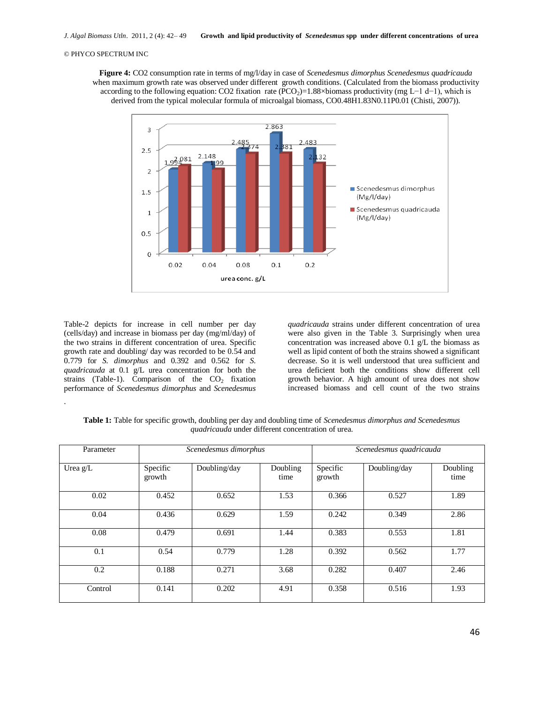**Figure 4:** CO2 consumption rate in terms of mg/l/day in case of *Scenedesmus dimorphus Scenedesmus quadricauda*  when maximum growth rate was observed under different growth conditions. (Calculated from the biomass productivity according to the following equation: CO2 fixation rate (PCO<sub>2</sub>)=1.88×biomass productivity (mg L−1 d−1), which is derived from the typical molecular formula of microalgal biomass, CO0.48H1.83N0.11P0.01 (Chisti, 2007)).



Table-2 depicts for increase in cell number per day (cells/day) and increase in biomass per day (mg/ml/day) of the two strains in different concentration of urea. Specific growth rate and doubling/ day was recorded to be 0.54 and 0.779 for *S. dimorphus* and 0.392 and 0.562 for *S. quadricauda* at 0.1 g/L urea concentration for both the strains (Table-1). Comparison of the  $CO<sub>2</sub>$  fixation performance of *Scenedesmus dimorphus* and *Scenedesmus* 

.

*quadricauda* strains under different concentration of urea were also given in the Table 3. Surprisingly when urea concentration was increased above  $0.1$  g/L the biomass as well as lipid content of both the strains showed a significant decrease. So it is well understood that urea sufficient and urea deficient both the conditions show different cell growth behavior. A high amount of urea does not show increased biomass and cell count of the two strains

**Table 1:** Table for specific growth, doubling per day and doubling time of *Scenedesmus dimorphus and Scenedesmus quadricauda* under different concentration of urea.

| Parameter  | Scenedesmus dimorphus |              |                  | Scenedesmus quadricauda |              |                  |
|------------|-----------------------|--------------|------------------|-------------------------|--------------|------------------|
| Urea $g/L$ | Specific<br>growth    | Doubling/day | Doubling<br>time | Specific<br>growth      | Doubling/day | Doubling<br>time |
| 0.02       | 0.452                 | 0.652        | 1.53             | 0.366                   | 0.527        | 1.89             |
| 0.04       | 0.436                 | 0.629        | 1.59             | 0.242                   | 0.349        | 2.86             |
| 0.08       | 0.479                 | 0.691        | 1.44             | 0.383                   | 0.553        | 1.81             |
| 0.1        | 0.54                  | 0.779        | 1.28             | 0.392                   | 0.562        | 1.77             |
| 0.2        | 0.188                 | 0.271        | 3.68             | 0.282                   | 0.407        | 2.46             |
| Control    | 0.141                 | 0.202        | 4.91             | 0.358                   | 0.516        | 1.93             |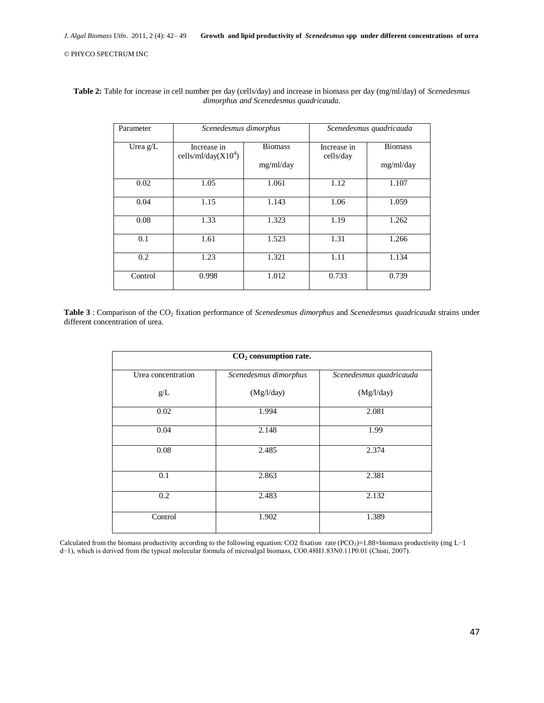| Parameter  | Scenedesmus dimorphus                 |                             | Scenedesmus quadricauda  |                             |
|------------|---------------------------------------|-----------------------------|--------------------------|-----------------------------|
| Urea $g/L$ | Increase in<br>cells/ml/day( $X104$ ) | <b>Biomass</b><br>mg/ml/day | Increase in<br>cells/day | <b>Biomass</b><br>mg/ml/day |
| 0.02       | 1.05                                  | 1.061                       | 1.12                     | 1.107                       |
| 0.04       | 1.15                                  | 1.143                       | 1.06                     | 1.059                       |
| 0.08       | 1.33                                  | 1.323                       | 1.19                     | 1.262                       |
| 0.1        | 1.61                                  | 1.523                       | 1.31                     | 1.266                       |
| 0.2        | 1.23                                  | 1.321                       | 1.11                     | 1.134                       |
| Control    | 0.998                                 | 1.012                       | 0.733                    | 0.739                       |

**Table 2:** Table for increase in cell number per day (cells/day) and increase in biomass per day (mg/ml/day) of *Scenedesmus dimorphus and Scenedesmus quadricauda.*

Table 3 : Comparison of the CO<sub>2</sub> fixation performance of *Scenedesmus dimorphus* and *Scenedesmus quadricauda* strains under different concentration of urea.

| $CO2$ consumption rate. |                       |                         |  |  |  |
|-------------------------|-----------------------|-------------------------|--|--|--|
| Urea concentration      | Scenedesmus dimorphus | Scenedesmus quadricauda |  |  |  |
| g/L                     | (Mg/l/day)            | (Mg/l/day)              |  |  |  |
| 0.02                    | 1.994                 | 2.081                   |  |  |  |
| 0.04                    | 2.148                 | 1.99                    |  |  |  |
| 0.08                    | 2.485                 | 2.374                   |  |  |  |
| 0.1                     | 2.863                 | 2.381                   |  |  |  |
| 0.2                     | 2.483                 | 2.132                   |  |  |  |
| Control                 | 1.902                 | 1.389                   |  |  |  |

Calculated from the biomass productivity according to the following equation: CO2 fixation rate (PCO2)=1.88×biomass productivity (mg L-1 d−1), which is derived from the typical molecular formula of microalgal biomass, CO0.48H1.83N0.11P0.01 (Chisti, 2007).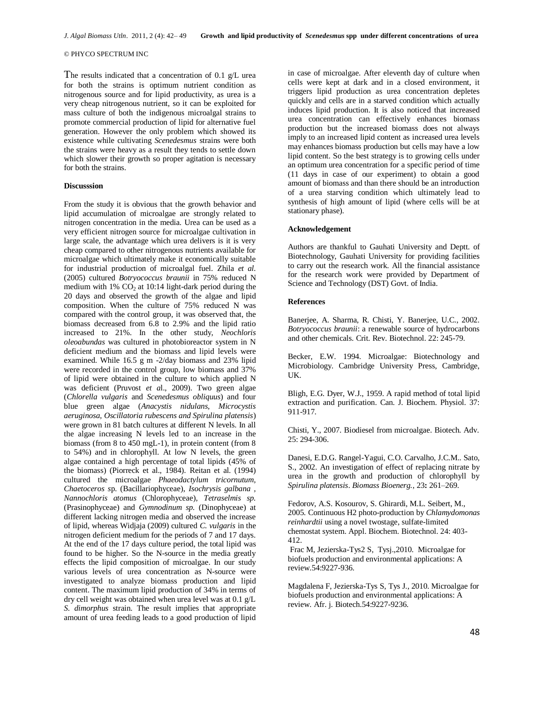The results indicated that a concentration of 0.1 g/L urea for both the strains is optimum nutrient condition as nitrogenous source and for lipid productivity, as urea is a very cheap nitrogenous nutrient, so it can be exploited for mass culture of both the indigenous microalgal strains to promote commercial production of lipid for alternative fuel generation. However the only problem which showed its existence while cultivating *Scenedesmus* strains were both the strains were heavy as a result they tends to settle down which slower their growth so proper agitation is necessary for both the strains.

### **Discusssion**

From the study it is obvious that the growth behavior and lipid accumulation of microalgae are strongly related to nitrogen concentration in the media. Urea can be used as a very efficient nitrogen source for microalgae cultivation in large scale, the advantage which urea delivers is it is very cheap compared to other nitrogenous nutrients available for microalgae which ultimately make it economically suitable for industrial production of microalgal fuel. Zhila *et al.* (2005) cultured *Botryococcus braunii* in 75% reduced N medium with  $1\%$  CO<sub>2</sub> at 10:14 light-dark period during the 20 days and observed the growth of the algae and lipid composition. When the culture of 75% reduced N was compared with the control group, it was observed that, the biomass decreased from 6.8 to 2.9% and the lipid ratio increased to 21%. In the other study, *Neochloris oleoabundas* was cultured in photobioreactor system in N deficient medium and the biomass and lipid levels were examined. While 16.5 g m -2/day biomass and 23% lipid were recorded in the control group, low biomass and 37% of lipid were obtained in the culture to which applied N was deficient (Pruvost *et a*l., 2009). Two green algae (*Chlorella vulgaris* and *Scenedesmus obliquus*) and four blue green algae (*Anacystis nidulans, Microcystis aeruginosa, Oscillatoria rubescens and Spirulina platensis*) were grown in 81 batch cultures at different N levels. In all the algae increasing N levels led to an increase in the biomass (from 8 to 450 mgL-1), in protein content (from 8 to 54%) and in chlorophyll. At low N levels, the green algae contained a high percentage of total lipids (45% of the biomass) (Piorreck et al., 1984). Reitan et al. (1994) cultured the microalgae *Phaeodactylum tricornutum, Chaetoceros s*p. (Bacillariophyceae), *Isochrysis galbana , Nannochloris atomus* (Chlorophyceae), *Tetraselmis sp.*  (Prasinophyceae) and *Gymnodinum sp.* (Dinophyceae) at different lacking nitrogen media and observed the increase of lipid, whereas Widjaja (2009) cultured *C. vulgaris* in the nitrogen deficient medium for the periods of 7 and 17 days. At the end of the 17 days culture period, the total lipid was found to be higher. So the N-source in the media greatly effects the lipid composition of microalgae. In our study various levels of urea concentration as N-source were investigated to analyze biomass production and lipid content. The maximum lipid production of 34% in terms of dry cell weight was obtained when urea level was at 0.1 g/L *S. dimorphus* strain. The result implies that appropriate amount of urea feeding leads to a good production of lipid

in case of microalgae. After eleventh day of culture when cells were kept at dark and in a closed environment, it triggers lipid production as urea concentration depletes quickly and cells are in a starved condition which actually induces lipid production. It is also noticed that increased urea concentration can effectively enhances biomass production but the increased biomass does not always imply to an increased lipid content as increased urea levels may enhances biomass production but cells may have a low lipid content. So the best strategy is to growing cells under an optimum urea concentration for a specific period of time (11 days in case of our experiment) to obtain a good amount of biomass and than there should be an introduction of a urea starving condition which ultimately lead to synthesis of high amount of lipid (where cells will be at stationary phase).

# **Acknowledgement**

Authors are thankful to Gauhati University and Deptt. of Biotechnology, Gauhati University for providing facilities to carry out the research work. All the financial assistance for the research work were provided by Department of Science and Technology (DST) Govt. of India.

#### **References**

Banerjee, A. Sharma, R. Chisti, Y. Banerjee, U.C., 2002. *Botryococcus braunii*: a renewable source of hydrocarbons and other chemicals. Crit. Rev. Biotechnol. 22: 245-79.

Becker, E.W. 1994. Microalgae: Biotechnology and Microbiology. Cambridge University Press, Cambridge, UK.

Bligh, E.G. Dyer, W.J., 1959. A rapid method of total lipid extraction and purification. Can. J. Biochem. Physiol. 37: 911-917.

Chisti, Y., 2007. Biodiesel from microalgae. Biotech. Adv. 25: 294-306.

Danesi, E.D.G. Rangel-Yagui, C.O. Carvalho, J.C.M.. Sato, S., 2002. An investigation of effect of replacing nitrate by urea in the growth and production of chlorophyll by *Spirulina platensis*. *Biomass Bioenerg.*, 23**:** 261–269.

Fedorov, A.S. Kosourov, S. Ghirardi, M.L. Seibert, M., 2005. Continuous H2 photo-production by *Chlamydomonas reinhardtii* using a novel twostage, sulfate-limited chemostat system. Appl. Biochem. Biotechnol. 24: 403- 412.

Frac M, Jezierska-Tys2 S, Tysj.,2010. Microalgae for biofuels production and environmental applications: A review.54:9227-936.

Magdalena F, Jezierska-Tys S, Tys J., 2010. Microalgae for biofuels production and environmental applications: A review. Afr. j. Biotech.54:9227-9236.